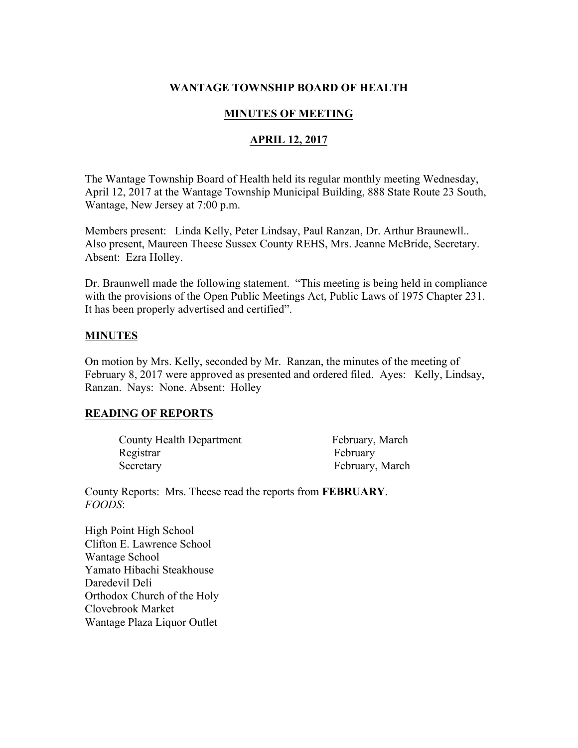# **WANTAGE TOWNSHIP BOARD OF HEALTH**

## **MINUTES OF MEETING**

## **APRIL 12, 2017**

The Wantage Township Board of Health held its regular monthly meeting Wednesday, April 12, 2017 at the Wantage Township Municipal Building, 888 State Route 23 South, Wantage, New Jersey at 7:00 p.m.

Members present: Linda Kelly, Peter Lindsay, Paul Ranzan, Dr. Arthur Braunewll.. Also present, Maureen Theese Sussex County REHS, Mrs. Jeanne McBride, Secretary. Absent: Ezra Holley.

Dr. Braunwell made the following statement. "This meeting is being held in compliance with the provisions of the Open Public Meetings Act, Public Laws of 1975 Chapter 231. It has been properly advertised and certified".

### **MINUTES**

On motion by Mrs. Kelly, seconded by Mr. Ranzan, the minutes of the meeting of February 8, 2017 were approved as presented and ordered filed. Ayes: Kelly, Lindsay, Ranzan. Nays: None. Absent: Holley

### **READING OF REPORTS**

| County Health Department | February, March |
|--------------------------|-----------------|
| Registrar                | February        |
| Secretary                | February, March |

County Reports: Mrs. Theese read the reports from **FEBRUARY**. *FOODS*:

High Point High School Clifton E. Lawrence School Wantage School Yamato Hibachi Steakhouse Daredevil Deli Orthodox Church of the Holy Clovebrook Market Wantage Plaza Liquor Outlet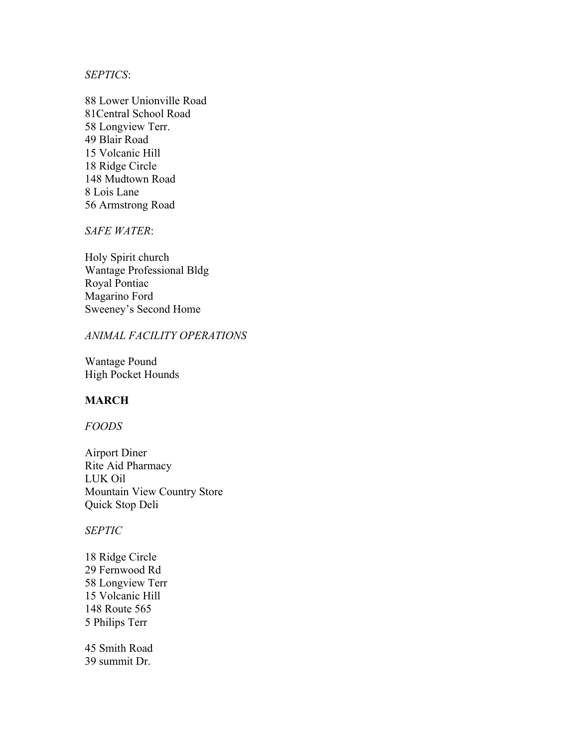### *SEPTICS*:

88 Lower Unionville Road 81Central School Road 58 Longview Terr. 49 Blair Road 15 Volcanic Hill 18 Ridge Circle 148 Mudtown Road 8 Lois Lane 56 Armstrong Road

*SAFE WATER*:

Holy Spirit church Wantage Professional Bldg Royal Pontiac Magarino Ford Sweeney's Second Home

### *ANIMAL FACILITY OPERATIONS*

Wantage Pound High Pocket Hounds

### **MARCH**

#### *FOODS*

Airport Diner Rite Aid Pharmacy LUK Oil Mountain View Country Store Quick Stop Deli

#### *SEPTIC*

18 Ridge Circle 29 Fernwood Rd 58 Longview Terr 15 Volcanic Hill 148 Route 565 5 Philips Terr

45 Smith Road 39 summit Dr.